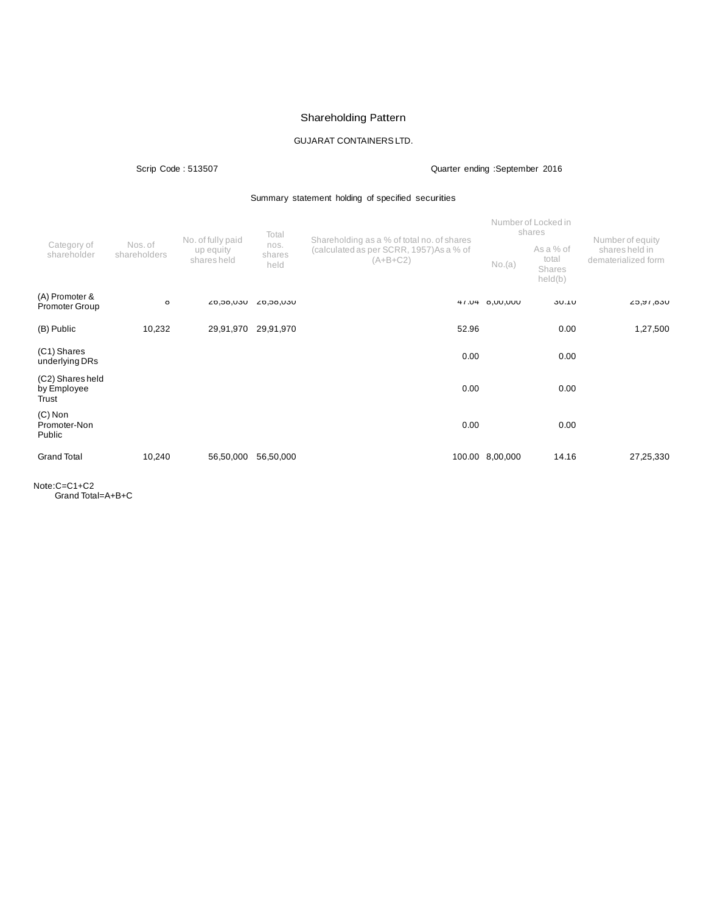# Shareholding Pattern

# GUJARAT CONTAINERSLTD.

Scrip Code : 513507 Quarter ending :September 2016

## Summary statement holding of specified securities

|                                          |                         | No. of fully paid        | Total                  | Shareholding as a % of total no. of shares             |                 | Number of Locked in<br>shares           | Number of equity                      |
|------------------------------------------|-------------------------|--------------------------|------------------------|--------------------------------------------------------|-----------------|-----------------------------------------|---------------------------------------|
| Category of<br>shareholder               | Nos. of<br>shareholders | up equity<br>shares held | nos.<br>shares<br>held | (calculated as per SCRR, 1957) As a % of<br>$(A+B+C2)$ | No.(a)          | As a % of<br>total<br>Shares<br>held(b) | shares held in<br>dematerialized form |
| (A) Promoter &<br><b>Promoter Group</b>  | Ö                       | UCU, ÖC, 02              | UCU, ÖC, ÖZ            |                                                        | 47.04 8,00,000  | <b>30.10</b>                            | L5, 16, 050                           |
| (B) Public                               | 10,232                  | 29,91,970                | 29,91,970              | 52.96                                                  |                 | 0.00                                    | 1,27,500                              |
| (C1) Shares<br>underlying DRs            |                         |                          |                        | 0.00                                                   |                 | 0.00                                    |                                       |
| (C2) Shares held<br>by Employee<br>Trust |                         |                          |                        | 0.00                                                   |                 | 0.00                                    |                                       |
| $(C)$ Non<br>Promoter-Non<br>Public      |                         |                          |                        | 0.00                                                   |                 | 0.00                                    |                                       |
| <b>Grand Total</b>                       | 10,240                  | 56,50,000                | 56,50,000              |                                                        | 100.00 8,00,000 | 14.16                                   | 27,25,330                             |

Note:C=C1+C2 Grand Total=A+B+C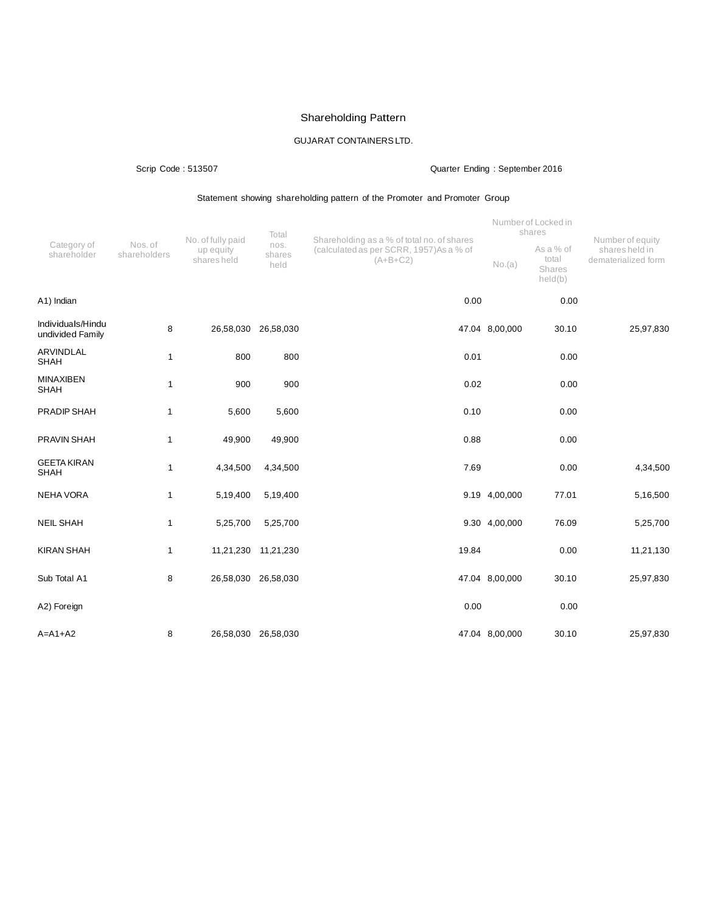# Shareholding Pattern

# GUJARAT CONTAINERSLTD.

# Scrip Code : 513507 Quarter Ending : September 2016

# Statement showing shareholding pattern of the Promoter and Promoter Group

|                                       | Nos. of<br>shareholders | No. of fully paid        | Total                  | Shareholding as a % of total no. of shares             | Number of Locked in<br>shares |                                         | Number of equity                      |
|---------------------------------------|-------------------------|--------------------------|------------------------|--------------------------------------------------------|-------------------------------|-----------------------------------------|---------------------------------------|
| Category of<br>shareholder            |                         | up equity<br>shares held | nos.<br>shares<br>held | (calculated as per SCRR, 1957) As a % of<br>$(A+B+C2)$ | No.(a)                        | As a % of<br>total<br>Shares<br>held(b) | shares held in<br>dematerialized form |
| A1) Indian                            |                         |                          |                        | 0.00                                                   |                               | 0.00                                    |                                       |
| Individuals/Hindu<br>undivided Family | 8                       | 26,58,030 26,58,030      |                        |                                                        | 47.04 8,00,000                | 30.10                                   | 25,97,830                             |
| ARVINDLAL<br><b>SHAH</b>              | $\mathbf{1}$            | 800                      | 800                    | 0.01                                                   |                               | 0.00                                    |                                       |
| <b>MINAXIBEN</b><br><b>SHAH</b>       | $\mathbf{1}$            | 900                      | 900                    | 0.02                                                   |                               | 0.00                                    |                                       |
| PRADIP SHAH                           | $\mathbf{1}$            | 5,600                    | 5,600                  | 0.10                                                   |                               | 0.00                                    |                                       |
| PRAVIN SHAH                           | $\mathbf{1}$            | 49,900                   | 49,900                 | 0.88                                                   |                               | 0.00                                    |                                       |
| <b>GEETA KIRAN</b><br><b>SHAH</b>     | $\mathbf{1}$            | 4,34,500                 | 4,34,500               | 7.69                                                   |                               | 0.00                                    | 4,34,500                              |
| <b>NEHA VORA</b>                      | $\mathbf{1}$            | 5,19,400                 | 5,19,400               |                                                        | 9.19 4,00,000                 | 77.01                                   | 5,16,500                              |
| <b>NEIL SHAH</b>                      | $\mathbf{1}$            | 5,25,700                 | 5,25,700               |                                                        | 9.30 4,00,000                 | 76.09                                   | 5,25,700                              |
| <b>KIRAN SHAH</b>                     | $\mathbf{1}$            |                          | 11,21,230 11,21,230    | 19.84                                                  |                               | 0.00                                    | 11,21,130                             |
| Sub Total A1                          | 8                       | 26,58,030 26,58,030      |                        |                                                        | 47.04 8,00,000                | 30.10                                   | 25,97,830                             |
| A2) Foreign                           |                         |                          |                        | 0.00                                                   |                               | 0.00                                    |                                       |
| $A=A1+A2$                             | 8                       |                          | 26,58,030 26,58,030    |                                                        | 47.04 8,00,000                | 30.10                                   | 25,97,830                             |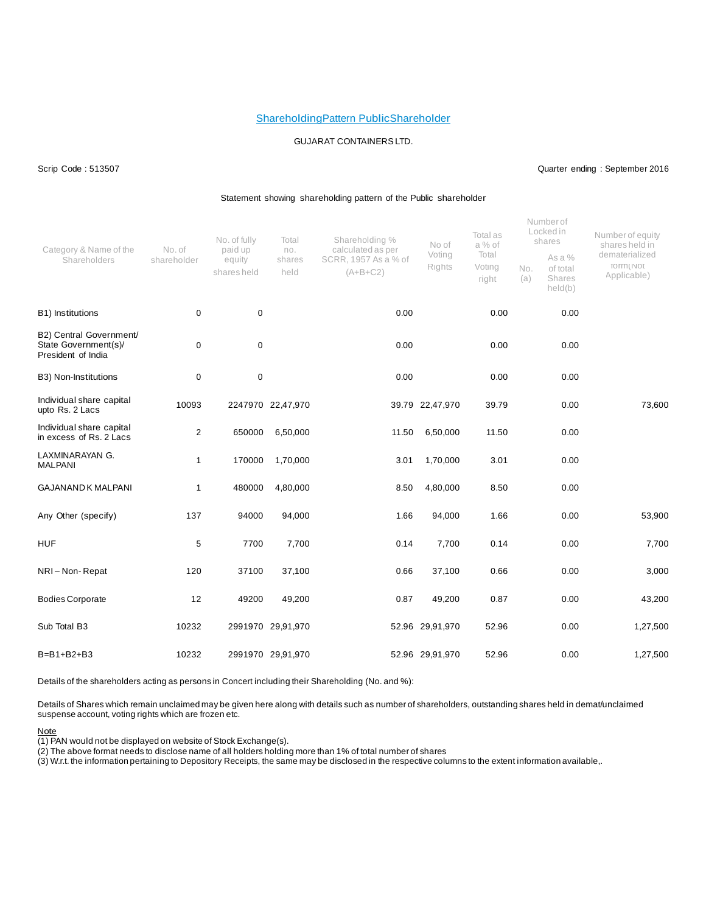### ShareholdingPattern PublicShareholder

### GUJARAT CONTAINERSLTD.

### Scrip Code : 513507 Quarter ending : September 2016

#### Statement showing shareholding pattern of the Public shareholder

| Category & Name of the<br>Shareholders                                | No. of<br>shareholder | No. of fully<br>paid up<br>equity<br>shares held | Total<br>no.<br>shares<br>held | Shareholding %<br>calculated as per<br>SCRR, 1957 As a % of<br>$(A+B+C2)$ | No of<br>Voting<br>Rights | Total as<br>a % of<br>Total<br>Voting<br>right | No.<br>(a) | Numberof<br>Locked in<br>shares<br>As a %<br>of total<br>Shares<br>held(b) | Number of equity<br>shares held in<br>dematerialized<br>TO ITTI ( INOT<br>Applicable) |
|-----------------------------------------------------------------------|-----------------------|--------------------------------------------------|--------------------------------|---------------------------------------------------------------------------|---------------------------|------------------------------------------------|------------|----------------------------------------------------------------------------|---------------------------------------------------------------------------------------|
| B1) Institutions                                                      | 0                     | $\mathbf 0$                                      |                                | 0.00                                                                      |                           | 0.00                                           |            | 0.00                                                                       |                                                                                       |
| B2) Central Government/<br>State Government(s)/<br>President of India | 0                     | 0                                                |                                | 0.00                                                                      |                           | 0.00                                           |            | 0.00                                                                       |                                                                                       |
| B3) Non-Institutions                                                  | 0                     | $\pmb{0}$                                        |                                | 0.00                                                                      |                           | 0.00                                           |            | 0.00                                                                       |                                                                                       |
| Individual share capital<br>upto Rs. 2 Lacs                           | 10093                 |                                                  | 2247970 22,47,970              |                                                                           | 39.79 22,47,970           | 39.79                                          |            | 0.00                                                                       | 73,600                                                                                |
| Individual share capital<br>in excess of Rs. 2 Lacs                   | $\overline{2}$        | 650000                                           | 6,50,000                       | 11.50                                                                     | 6,50,000                  | 11.50                                          |            | 0.00                                                                       |                                                                                       |
| LAXMINARAYAN G.<br><b>MALPANI</b>                                     | 1                     | 170000                                           | 1,70,000                       | 3.01                                                                      | 1,70,000                  | 3.01                                           |            | 0.00                                                                       |                                                                                       |
| <b>GAJANAND K MALPANI</b>                                             | $\mathbf{1}$          | 480000                                           | 4,80,000                       | 8.50                                                                      | 4,80,000                  | 8.50                                           |            | 0.00                                                                       |                                                                                       |
| Any Other (specify)                                                   | 137                   | 94000                                            | 94,000                         | 1.66                                                                      | 94,000                    | 1.66                                           |            | 0.00                                                                       | 53,900                                                                                |
| <b>HUF</b>                                                            | 5                     | 7700                                             | 7,700                          | 0.14                                                                      | 7,700                     | 0.14                                           |            | 0.00                                                                       | 7,700                                                                                 |
| NRI-Non-Repat                                                         | 120                   | 37100                                            | 37,100                         | 0.66                                                                      | 37,100                    | 0.66                                           |            | 0.00                                                                       | 3,000                                                                                 |
| <b>Bodies Corporate</b>                                               | 12                    | 49200                                            | 49,200                         | 0.87                                                                      | 49,200                    | 0.87                                           |            | 0.00                                                                       | 43,200                                                                                |
| Sub Total B3                                                          | 10232                 |                                                  | 2991970 29,91,970              |                                                                           | 52.96 29,91,970           | 52.96                                          |            | 0.00                                                                       | 1,27,500                                                                              |
| $B=B1+B2+B3$                                                          | 10232                 |                                                  | 2991970 29,91,970              |                                                                           | 52.96 29,91,970           | 52.96                                          |            | 0.00                                                                       | 1,27,500                                                                              |

Details of the shareholders acting as persons in Concert including their Shareholding (No. and %):

Details of Shares which remain unclaimed may be given here along with details such as number of shareholders, outstanding shares held in demat/unclaimed suspense account, voting rights which are frozen etc.

### Note

(1) PAN would not be displayed on website of Stock Exchange(s).

(2) The above format needs to disclose name of all holders holding more than 1% of total number of shares

 $\langle 3 \rangle$  W.r.t. the information pertaining to Depository Receipts, the same may be disclosed in the respective columns to the extent information available,.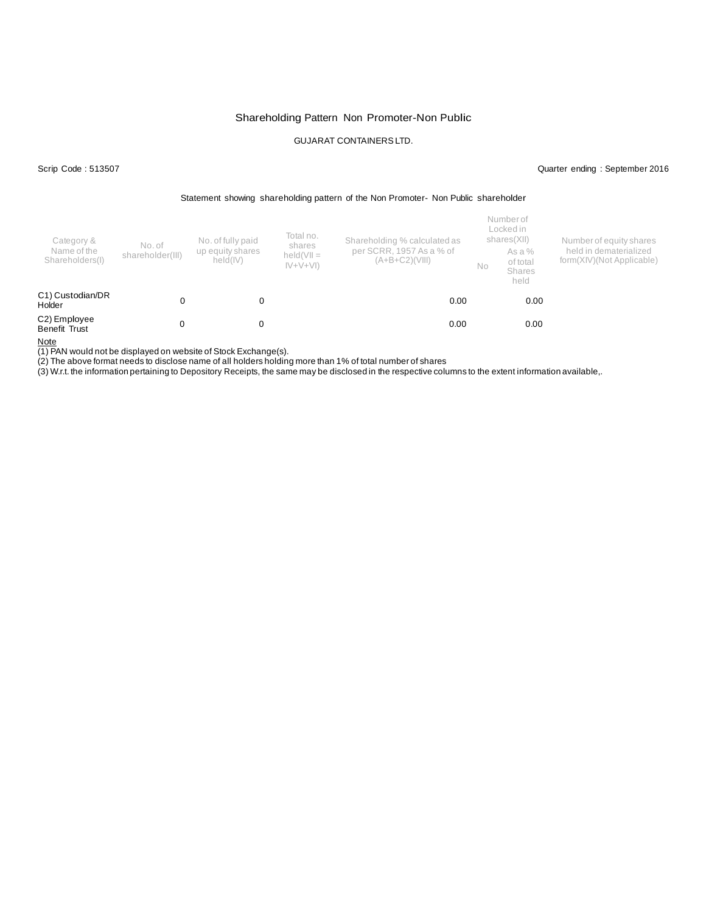## Shareholding Pattern Non Promoter-Non Public

# GUJARAT CONTAINERSLTD.

### Scrip Code : 513507 Quarter ending : September 2016

#### Statement showing shareholding pattern of the Non Promoter- Non Public shareholder

| Category &<br>Name of the<br>Shareholders(I) | No. of<br>shareholder(III) | No. of fully paid<br>up equity shares<br>held(IV) | Total no.<br>shares<br>$held(VII =$<br>$ V+V+V $ | Shareholding % calculated as<br>per SCRR, 1957 As a % of<br>(A+B+C2)(VIII) | No | Number of<br>Locked in<br>shares(XII)<br>As a %<br>of total<br><b>Shares</b><br>held | Number of equity shares<br>held in dematerialized<br>form(XIV)(Not Applicable) |
|----------------------------------------------|----------------------------|---------------------------------------------------|--------------------------------------------------|----------------------------------------------------------------------------|----|--------------------------------------------------------------------------------------|--------------------------------------------------------------------------------|
| C1) Custodian/DR<br>Holder                   |                            |                                                   |                                                  | 0.00                                                                       |    | 0.00                                                                                 |                                                                                |
| C2) Employee<br>Benefit Trust                |                            |                                                   |                                                  | 0.00                                                                       |    | 0.00                                                                                 |                                                                                |

Note

(1) PAN would not be displayed on website of Stock Exchange(s).

(2) The above format needs to disclose name of all holders holding more than 1% of total number of shares

(3) W.r.t. the information pertaining to Depository Receipts, the same may be disclosed in the respective columns to the extent information available,.